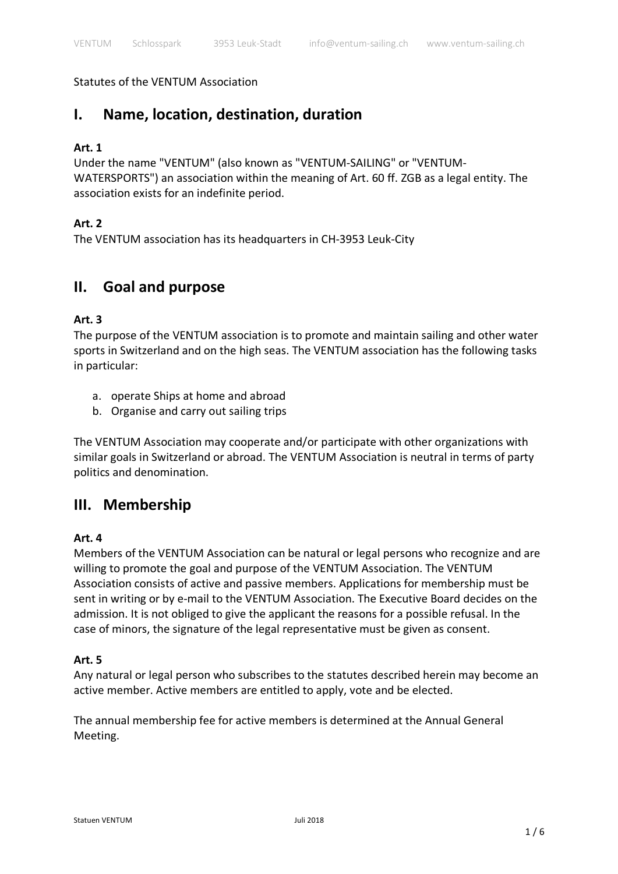#### Statutes of the VENTUM Association

# **I. Name, location, destination, duration**

#### **Art. 1**

Under the name "VENTUM" (also known as "VENTUM-SAILING" or "VENTUM-WATERSPORTS") an association within the meaning of Art. 60 ff. ZGB as a legal entity. The association exists for an indefinite period.

## **Art. 2**

The VENTUM association has its headquarters in CH-3953 Leuk-City

## **II. Goal and purpose**

#### **Art. 3**

The purpose of the VENTUM association is to promote and maintain sailing and other water sports in Switzerland and on the high seas. The VENTUM association has the following tasks in particular:

- a. operate Ships at home and abroad
- b. Organise and carry out sailing trips

The VENTUM Association may cooperate and/or participate with other organizations with similar goals in Switzerland or abroad. The VENTUM Association is neutral in terms of party politics and denomination.

## **III. Membership**

#### **Art. 4**

Members of the VENTUM Association can be natural or legal persons who recognize and are willing to promote the goal and purpose of the VENTUM Association. The VENTUM Association consists of active and passive members. Applications for membership must be sent in writing or by e-mail to the VENTUM Association. The Executive Board decides on the admission. It is not obliged to give the applicant the reasons for a possible refusal. In the case of minors, the signature of the legal representative must be given as consent.

#### **Art. 5**

Any natural or legal person who subscribes to the statutes described herein may become an active member. Active members are entitled to apply, vote and be elected.

The annual membership fee for active members is determined at the Annual General Meeting.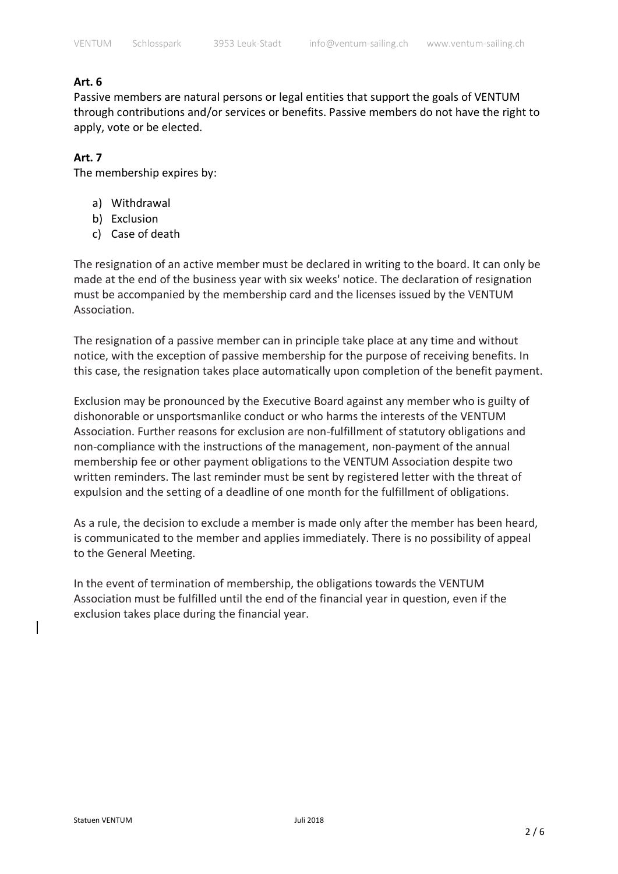#### **Art. 6**

Passive members are natural persons or legal entities that support the goals of VENTUM through contributions and/or services or benefits. Passive members do not have the right to apply, vote or be elected.

#### **Art. 7**

The membership expires by:

- a) Withdrawal
- b) Exclusion
- c) Case of death

The resignation of an active member must be declared in writing to the board. It can only be made at the end of the business year with six weeks' notice. The declaration of resignation must be accompanied by the membership card and the licenses issued by the VENTUM Association.

The resignation of a passive member can in principle take place at any time and without notice, with the exception of passive membership for the purpose of receiving benefits. In this case, the resignation takes place automatically upon completion of the benefit payment.

Exclusion may be pronounced by the Executive Board against any member who is guilty of dishonorable or unsportsmanlike conduct or who harms the interests of the VENTUM Association. Further reasons for exclusion are non-fulfillment of statutory obligations and non-compliance with the instructions of the management, non-payment of the annual membership fee or other payment obligations to the VENTUM Association despite two written reminders. The last reminder must be sent by registered letter with the threat of expulsion and the setting of a deadline of one month for the fulfillment of obligations.

As a rule, the decision to exclude a member is made only after the member has been heard, is communicated to the member and applies immediately. There is no possibility of appeal to the General Meeting.

In the event of termination of membership, the obligations towards the VENTUM Association must be fulfilled until the end of the financial year in question, even if the exclusion takes place during the financial year.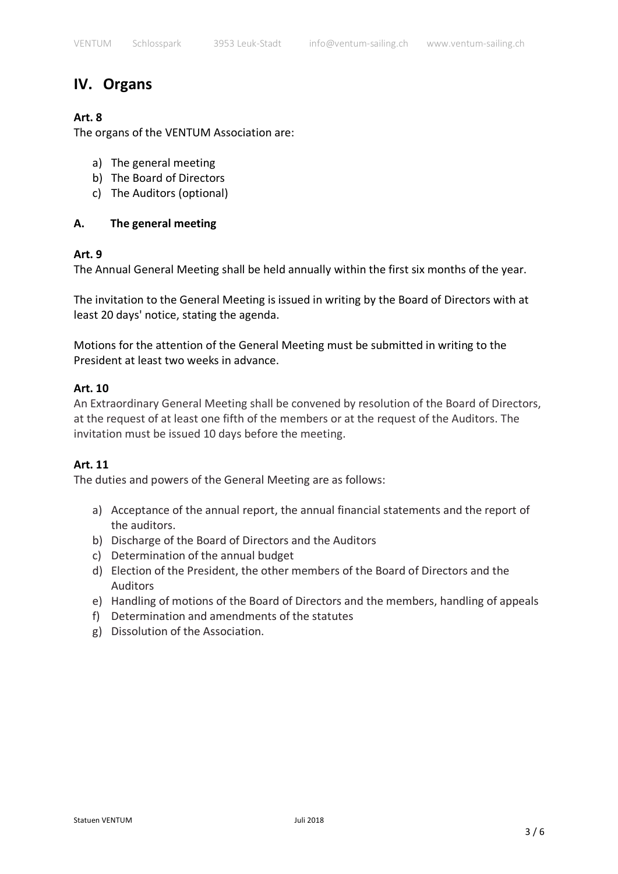# **IV. Organs**

## **Art. 8**

The organs of the VENTUM Association are:

- a) The general meeting
- b) The Board of Directors
- c) The Auditors (optional)

## **A. The general meeting**

## **Art. 9**

The Annual General Meeting shall be held annually within the first six months of the year.

The invitation to the General Meeting is issued in writing by the Board of Directors with at least 20 days' notice, stating the agenda.

Motions for the attention of the General Meeting must be submitted in writing to the President at least two weeks in advance.

#### **Art. 10**

An Extraordinary General Meeting shall be convened by resolution of the Board of Directors, at the request of at least one fifth of the members or at the request of the Auditors. The invitation must be issued 10 days before the meeting.

## **Art. 11**

The duties and powers of the General Meeting are as follows:

- a) Acceptance of the annual report, the annual financial statements and the report of the auditors.
- b) Discharge of the Board of Directors and the Auditors
- c) Determination of the annual budget
- d) Election of the President, the other members of the Board of Directors and the Auditors
- e) Handling of motions of the Board of Directors and the members, handling of appeals
- f) Determination and amendments of the statutes
- g) Dissolution of the Association.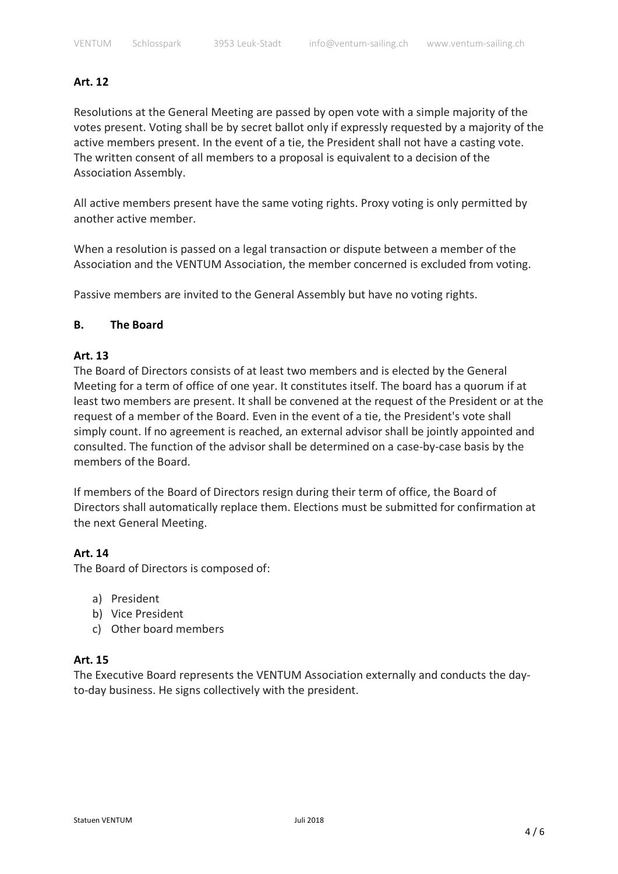#### **Art. 12**

Resolutions at the General Meeting are passed by open vote with a simple majority of the votes present. Voting shall be by secret ballot only if expressly requested by a majority of the active members present. In the event of a tie, the President shall not have a casting vote. The written consent of all members to a proposal is equivalent to a decision of the Association Assembly.

All active members present have the same voting rights. Proxy voting is only permitted by another active member.

When a resolution is passed on a legal transaction or dispute between a member of the Association and the VENTUM Association, the member concerned is excluded from voting.

Passive members are invited to the General Assembly but have no voting rights.

#### **B. The Board**

#### **Art. 13**

The Board of Directors consists of at least two members and is elected by the General Meeting for a term of office of one year. It constitutes itself. The board has a quorum if at least two members are present. It shall be convened at the request of the President or at the request of a member of the Board. Even in the event of a tie, the President's vote shall simply count. If no agreement is reached, an external advisor shall be jointly appointed and consulted. The function of the advisor shall be determined on a case-by-case basis by the members of the Board.

If members of the Board of Directors resign during their term of office, the Board of Directors shall automatically replace them. Elections must be submitted for confirmation at the next General Meeting.

#### **Art. 14**

The Board of Directors is composed of:

- a) President
- b) Vice President
- c) Other board members

#### **Art. 15**

The Executive Board represents the VENTUM Association externally and conducts the dayto-day business. He signs collectively with the president.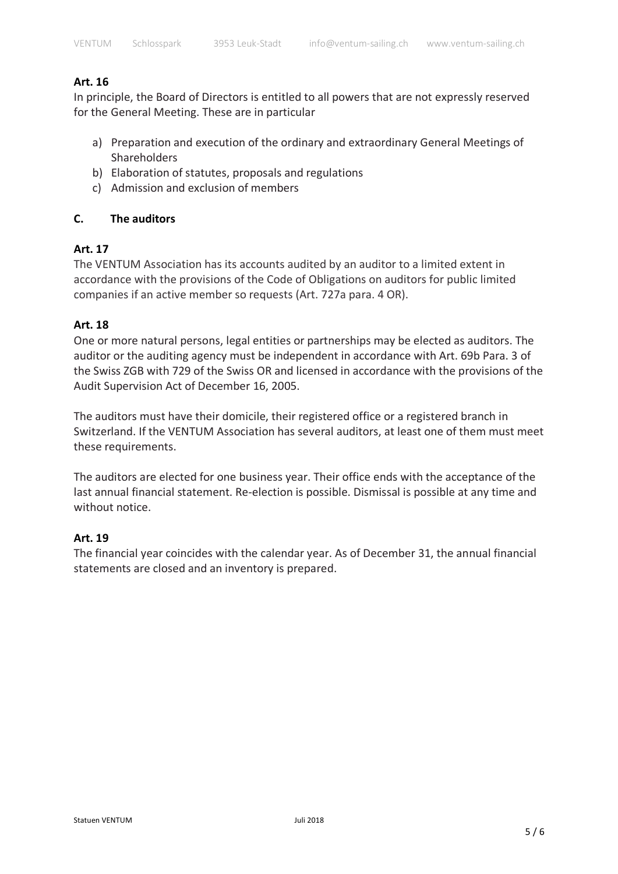#### **Art. 16**

In principle, the Board of Directors is entitled to all powers that are not expressly reserved for the General Meeting. These are in particular

- a) Preparation and execution of the ordinary and extraordinary General Meetings of Shareholders
- b) Elaboration of statutes, proposals and regulations
- c) Admission and exclusion of members

## **C. The auditors**

## **Art. 17**

The VENTUM Association has its accounts audited by an auditor to a limited extent in accordance with the provisions of the Code of Obligations on auditors for public limited companies if an active member so requests (Art. 727a para. 4 OR).

## **Art. 18**

One or more natural persons, legal entities or partnerships may be elected as auditors. The auditor or the auditing agency must be independent in accordance with Art. 69b Para. 3 of the Swiss ZGB with 729 of the Swiss OR and licensed in accordance with the provisions of the Audit Supervision Act of December 16, 2005.

The auditors must have their domicile, their registered office or a registered branch in Switzerland. If the VENTUM Association has several auditors, at least one of them must meet these requirements.

The auditors are elected for one business year. Their office ends with the acceptance of the last annual financial statement. Re-election is possible. Dismissal is possible at any time and without notice.

## **Art. 19**

The financial year coincides with the calendar year. As of December 31, the annual financial statements are closed and an inventory is prepared.